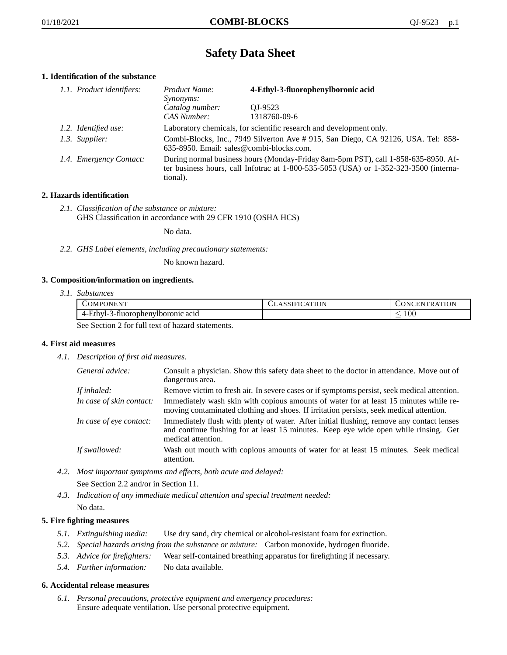# **Safety Data Sheet**

# **1. Identification of the substance**

| 1.1. Product identifiers: | Product Name:<br><i>Synonyms:</i>                                                                                                                                                           | 4-Ethyl-3-fluorophenylboronic acid |
|---------------------------|---------------------------------------------------------------------------------------------------------------------------------------------------------------------------------------------|------------------------------------|
|                           | Catalog number:<br>CAS Number:                                                                                                                                                              | OJ-9523<br>1318760-09-6            |
| 1.2. Identified use:      | Laboratory chemicals, for scientific research and development only.                                                                                                                         |                                    |
| 1.3. Supplier:            | Combi-Blocks, Inc., 7949 Silverton Ave # 915, San Diego, CA 92126, USA. Tel: 858-<br>635-8950. Email: sales@combi-blocks.com.                                                               |                                    |
| 1.4. Emergency Contact:   | During normal business hours (Monday-Friday 8am-5pm PST), call 1-858-635-8950. Af-<br>ter business hours, call Infotrac at $1-800-535-5053$ (USA) or $1-352-323-3500$ (interna-<br>tional). |                                    |

# **2. Hazards identification**

*2.1. Classification of the substance or mixture:* GHS Classification in accordance with 29 CFR 1910 (OSHA HCS)

No data.

*2.2. GHS Label elements, including precautionary statements:*

No known hazard.

## **3. Composition/information on ingredients.**

*3.1. Substances*

| COMPONENT                                                                                                                                                                                    | CLASSIFICATION | CONCENTRATION |
|----------------------------------------------------------------------------------------------------------------------------------------------------------------------------------------------|----------------|---------------|
| 4-Ethyl-3-fluorophenylboronic acid                                                                                                                                                           |                | $100\,$       |
| $\mathcal{Q}_{\text{max}}$ $\mathcal{Q}_{\text{max}}$ $\mathcal{Q}_{\text{max}}$ $\mathcal{Q}_{\text{max}}$ $\mathcal{Q}_{\text{max}}$ $\mathcal{Q}_{\text{max}}$ $\mathcal{Q}_{\text{max}}$ |                |               |

See Section 2 for full text of hazard statements.

## **4. First aid measures**

*4.1. Description of first aid measures.*

| General advice:          | Consult a physician. Show this safety data sheet to the doctor in attendance. Move out of<br>dangerous area.                                                                                            |
|--------------------------|---------------------------------------------------------------------------------------------------------------------------------------------------------------------------------------------------------|
| If inhaled:              | Remove victim to fresh air. In severe cases or if symptoms persist, seek medical attention.                                                                                                             |
| In case of skin contact: | Immediately wash skin with copious amounts of water for at least 15 minutes while re-<br>moving contaminated clothing and shoes. If irritation persists, seek medical attention.                        |
| In case of eve contact:  | Immediately flush with plenty of water. After initial flushing, remove any contact lenses<br>and continue flushing for at least 15 minutes. Keep eye wide open while rinsing. Get<br>medical attention. |
| If swallowed:            | Wash out mouth with copious amounts of water for at least 15 minutes. Seek medical<br>attention.                                                                                                        |

*4.2. Most important symptoms and effects, both acute and delayed:*

See Section 2.2 and/or in Section 11.

*4.3. Indication of any immediate medical attention and special treatment needed:* No data.

# **5. Fire fighting measures**

- *5.1. Extinguishing media:* Use dry sand, dry chemical or alcohol-resistant foam for extinction.
- *5.2. Special hazards arising from the substance or mixture:* Carbon monoxide, hydrogen fluoride.
- *5.3. Advice for firefighters:* Wear self-contained breathing apparatus for firefighting if necessary.
- *5.4. Further information:* No data available.

## **6. Accidental release measures**

*6.1. Personal precautions, protective equipment and emergency procedures:* Ensure adequate ventilation. Use personal protective equipment.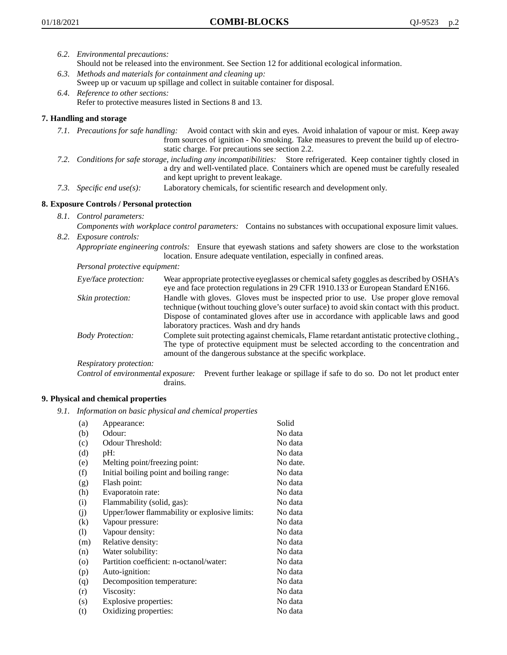- *6.2. Environmental precautions:*
	- Should not be released into the environment. See Section 12 for additional ecological information.
- *6.3. Methods and materials for containment and cleaning up:* Sweep up or vacuum up spillage and collect in suitable container for disposal.
- *6.4. Reference to other sections:* Refer to protective measures listed in Sections 8 and 13.

# **7. Handling and storage**

- *7.1. Precautions for safe handling:* Avoid contact with skin and eyes. Avoid inhalation of vapour or mist. Keep away from sources of ignition - No smoking. Take measures to prevent the build up of electrostatic charge. For precautions see section 2.2.
- *7.2. Conditions for safe storage, including any incompatibilities:* Store refrigerated. Keep container tightly closed in a dry and well-ventilated place. Containers which are opened must be carefully resealed and kept upright to prevent leakage.
- *7.3. Specific end use(s):* Laboratory chemicals, for scientific research and development only.

## **8. Exposure Controls / Personal protection**

*8.1. Control parameters:*

*Components with workplace control parameters:* Contains no substances with occupational exposure limit values. *8.2. Exposure controls:*

*Appropriate engineering controls:* Ensure that eyewash stations and safety showers are close to the workstation location. Ensure adequate ventilation, especially in confined areas.

*Personal protective equipment:*

| Eye/face protection:    | Wear appropriate protective eyeglasses or chemical safety goggles as described by OSHA's<br>eye and face protection regulations in 29 CFR 1910.133 or European Standard EN166.                                                                                                                                         |
|-------------------------|------------------------------------------------------------------------------------------------------------------------------------------------------------------------------------------------------------------------------------------------------------------------------------------------------------------------|
| Skin protection:        | Handle with gloves. Gloves must be inspected prior to use. Use proper glove removal<br>technique (without touching glove's outer surface) to avoid skin contact with this product.<br>Dispose of contaminated gloves after use in accordance with applicable laws and good<br>laboratory practices. Wash and dry hands |
| <b>Body Protection:</b> | Complete suit protecting against chemicals, Flame retardant antistatic protective clothing.,<br>The type of protective equipment must be selected according to the concentration and<br>amount of the dangerous substance at the specific workplace.                                                                   |
| Respiratory protection: |                                                                                                                                                                                                                                                                                                                        |

Control of environmental exposure: Prevent further leakage or spillage if safe to do so. Do not let product enter drains.

## **9. Physical and chemical properties**

*9.1. Information on basic physical and chemical properties*

| (a)      | Appearance:                                   | Solid    |
|----------|-----------------------------------------------|----------|
| (b)      | Odour:                                        | No data  |
| (c)      | Odour Threshold:                              | No data  |
| (d)      | pH:                                           | No data  |
| (e)      | Melting point/freezing point:                 | No date. |
| (f)      | Initial boiling point and boiling range:      | No data  |
| (g)      | Flash point:                                  | No data  |
| (h)      | Evaporatoin rate:                             | No data  |
| (i)      | Flammability (solid, gas):                    | No data  |
| (j)      | Upper/lower flammability or explosive limits: | No data  |
| $\rm(k)$ | Vapour pressure:                              | No data  |
| (1)      | Vapour density:                               | No data  |
| (m)      | Relative density:                             | No data  |
| (n)      | Water solubility:                             | No data  |
| $\circ$  | Partition coefficient: n-octanol/water:       | No data  |
| (p)      | Auto-ignition:                                | No data  |
| (q)      | Decomposition temperature:                    | No data  |
| (r)      | Viscosity:                                    | No data  |
| (s)      | Explosive properties:                         | No data  |
| (t)      | Oxidizing properties:                         | No data  |